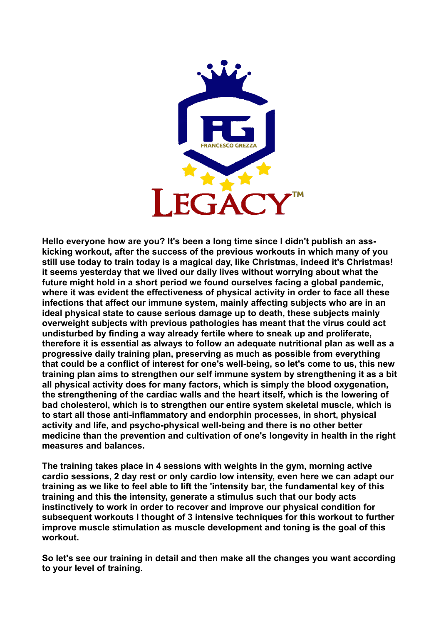

**Hello everyone how are you? It's been a long time since I didn't publish an asskicking workout, after the success of the previous workouts in which many of you still use today to train today is a magical day, like Christmas, indeed it's Christmas! it seems yesterday that we lived our daily lives without worrying about what the future might hold in a short period we found ourselves facing a global pandemic, where it was evident the effectiveness of physical activity in order to face all these infections that affect our immune system, mainly affecting subjects who are in an ideal physical state to cause serious damage up to death, these subjects mainly overweight subjects with previous pathologies has meant that the virus could act undisturbed by finding a way already fertile where to sneak up and proliferate, therefore it is essential as always to follow an adequate nutritional plan as well as a progressive daily training plan, preserving as much as possible from everything that could be a conflict of interest for one's well-being, so let's come to us, this new training plan aims to strengthen our self immune system by strengthening it as a bit all physical activity does for many factors, which is simply the blood oxygenation, the strengthening of the cardiac walls and the heart itself, which is the lowering of bad cholesterol, which is to strengthen our entire system skeletal muscle, which is to start all those anti-inflammatory and endorphin processes, in short, physical activity and life, and psycho-physical well-being and there is no other better medicine than the prevention and cultivation of one's longevity in health in the right measures and balances.**

**The training takes place in 4 sessions with weights in the gym, morning active cardio sessions, 2 day rest or only cardio low intensity, even here we can adapt our training as we like to feel able to lift the 'intensity bar, the fundamental key of this training and this the intensity, generate a stimulus such that our body acts instinctively to work in order to recover and improve our physical condition for subsequent workouts I thought of 3 intensive techniques for this workout to further improve muscle stimulation as muscle development and toning is the goal of this workout.**

**So let's see our training in detail and then make all the changes you want according to your level of training.**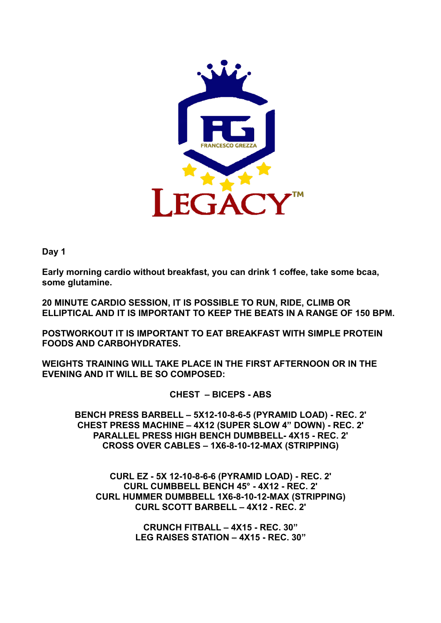

**Early morning cardio without breakfast, you can drink 1 coffee, take some bcaa, some glutamine.**

**20 MINUTE CARDIO SESSION, IT IS POSSIBLE TO RUN, RIDE, CLIMB OR ELLIPTICAL AND IT IS IMPORTANT TO KEEP THE BEATS IN A RANGE OF 150 BPM.**

**POSTWORKOUT IT IS IMPORTANT TO EAT BREAKFAST WITH SIMPLE PROTEIN FOODS AND CARBOHYDRATES.**

**WEIGHTS TRAINING WILL TAKE PLACE IN THE FIRST AFTERNOON OR IN THE EVENING AND IT WILL BE SO COMPOSED:**

**CHEST – BICEPS - ABS**

**BENCH PRESS BARBELL – 5X12-10-8-6-5 (PYRAMID LOAD) - REC. 2' CHEST PRESS MACHINE – 4X12 (SUPER SLOW 4" DOWN) - REC. 2' PARALLEL PRESS HIGH BENCH DUMBBELL- 4X15 - REC. 2' CROSS OVER CABLES – 1X6-8-10-12-MAX (STRIPPING)**

**CURL EZ - 5X 12-10-8-6-6 (PYRAMID LOAD) - REC. 2' CURL CUMBBELL BENCH 45° - 4X12 - REC. 2' CURL HUMMER DUMBBELL 1X6-8-10-12-MAX (STRIPPING) CURL SCOTT BARBELL – 4X12 - REC. 2'**

> **CRUNCH FITBALL – 4X15 - REC. 30" LEG RAISES STATION – 4X15 - REC. 30"**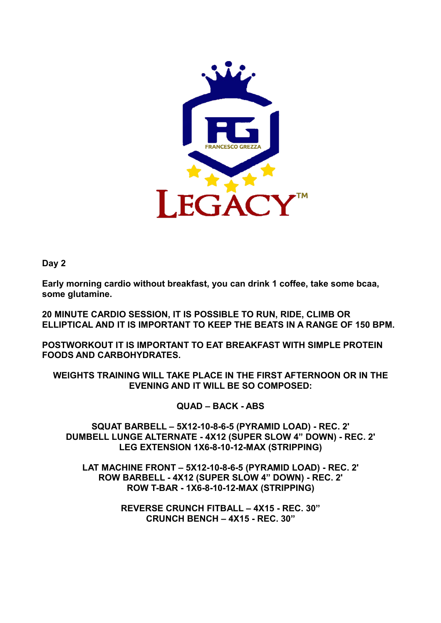

**Early morning cardio without breakfast, you can drink 1 coffee, take some bcaa, some glutamine.**

**20 MINUTE CARDIO SESSION, IT IS POSSIBLE TO RUN, RIDE, CLIMB OR ELLIPTICAL AND IT IS IMPORTANT TO KEEP THE BEATS IN A RANGE OF 150 BPM.**

**POSTWORKOUT IT IS IMPORTANT TO EAT BREAKFAST WITH SIMPLE PROTEIN FOODS AND CARBOHYDRATES.**

**WEIGHTS TRAINING WILL TAKE PLACE IN THE FIRST AFTERNOON OR IN THE EVENING AND IT WILL BE SO COMPOSED:**

**QUAD – BACK - ABS**

**SQUAT BARBELL – 5X12-10-8-6-5 (PYRAMID LOAD) - REC. 2' DUMBELL LUNGE ALTERNATE - 4X12 (SUPER SLOW 4" DOWN) - REC. 2' LEG EXTENSION 1X6-8-10-12-MAX (STRIPPING)**

**LAT MACHINE FRONT – 5X12-10-8-6-5 (PYRAMID LOAD) - REC. 2' ROW BARBELL - 4X12 (SUPER SLOW 4" DOWN) - REC. 2' ROW T-BAR - 1X6-8-10-12-MAX (STRIPPING)**

> **REVERSE CRUNCH FITBALL – 4X15 - REC. 30" CRUNCH BENCH – 4X15 - REC. 30"**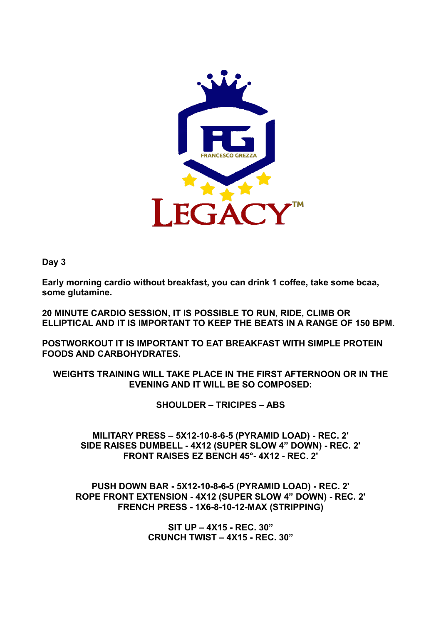

**Early morning cardio without breakfast, you can drink 1 coffee, take some bcaa, some glutamine.**

**20 MINUTE CARDIO SESSION, IT IS POSSIBLE TO RUN, RIDE, CLIMB OR ELLIPTICAL AND IT IS IMPORTANT TO KEEP THE BEATS IN A RANGE OF 150 BPM.**

**POSTWORKOUT IT IS IMPORTANT TO EAT BREAKFAST WITH SIMPLE PROTEIN FOODS AND CARBOHYDRATES.**

**WEIGHTS TRAINING WILL TAKE PLACE IN THE FIRST AFTERNOON OR IN THE EVENING AND IT WILL BE SO COMPOSED:**

**SHOULDER – TRICIPES – ABS**

**MILITARY PRESS – 5X12-10-8-6-5 (PYRAMID LOAD) - REC. 2' SIDE RAISES DUMBELL - 4X12 (SUPER SLOW 4" DOWN) - REC. 2' FRONT RAISES EZ BENCH 45°- 4X12 - REC. 2'**

**PUSH DOWN BAR - 5X12-10-8-6-5 (PYRAMID LOAD) - REC. 2' ROPE FRONT EXTENSION - 4X12 (SUPER SLOW 4" DOWN) - REC. 2' FRENCH PRESS - 1X6-8-10-12-MAX (STRIPPING)**

> **SIT UP – 4X15 - REC. 30" CRUNCH TWIST – 4X15 - REC. 30"**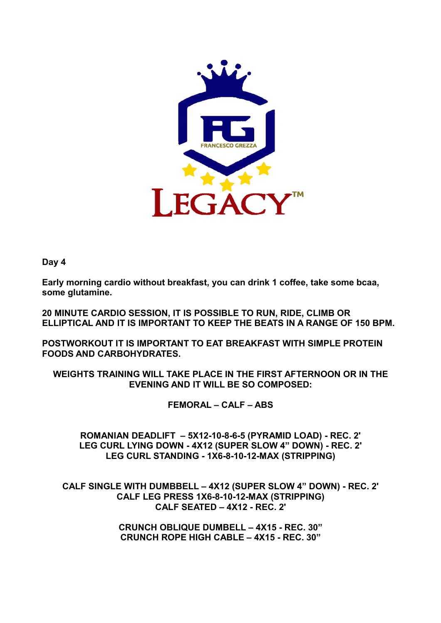

**Early morning cardio without breakfast, you can drink 1 coffee, take some bcaa, some glutamine.**

**20 MINUTE CARDIO SESSION, IT IS POSSIBLE TO RUN, RIDE, CLIMB OR ELLIPTICAL AND IT IS IMPORTANT TO KEEP THE BEATS IN A RANGE OF 150 BPM.**

**POSTWORKOUT IT IS IMPORTANT TO EAT BREAKFAST WITH SIMPLE PROTEIN FOODS AND CARBOHYDRATES.**

**WEIGHTS TRAINING WILL TAKE PLACE IN THE FIRST AFTERNOON OR IN THE EVENING AND IT WILL BE SO COMPOSED:**

**FEMORAL – CALF – ABS**

**ROMANIAN DEADLIFT – 5X12-10-8-6-5 (PYRAMID LOAD) - REC. 2' LEG CURL LYING DOWN - 4X12 (SUPER SLOW 4" DOWN) - REC. 2' LEG CURL STANDING - 1X6-8-10-12-MAX (STRIPPING)**

**CALF SINGLE WITH DUMBBELL – 4X12 (SUPER SLOW 4" DOWN) - REC. 2' CALF LEG PRESS 1X6-8-10-12-MAX (STRIPPING) CALF SEATED – 4X12 - REC. 2'**

> **CRUNCH OBLIQUE DUMBELL – 4X15 - REC. 30" CRUNCH ROPE HIGH CABLE – 4X15 - REC. 30"**